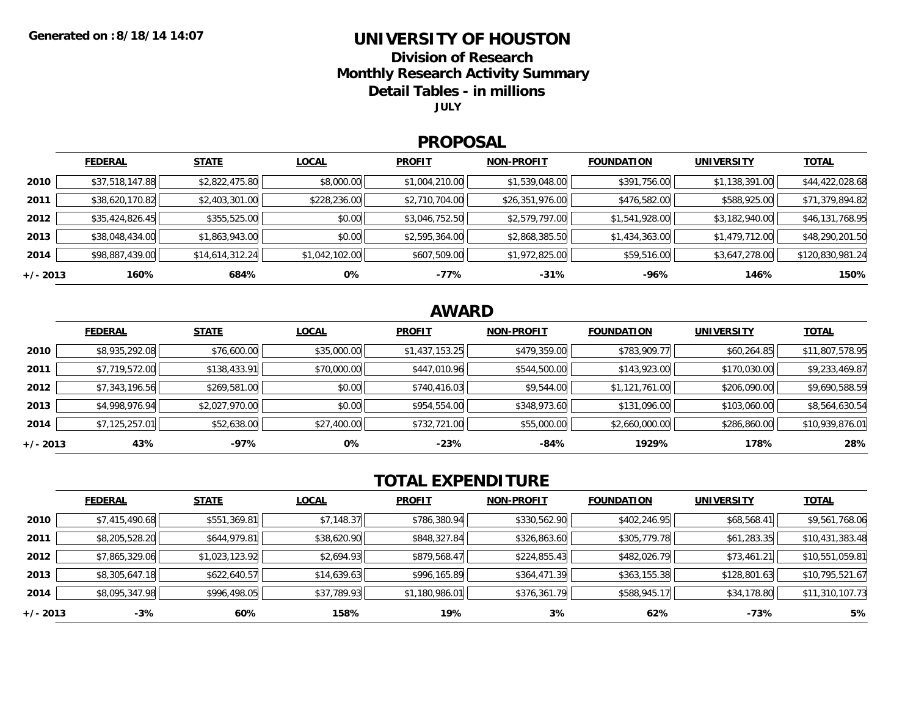### **UNIVERSITY OF HOUSTON**

**Division of Research**

**Monthly Research Activity Summary**

**Detail Tables - in millions**

**JULY**

#### **PROPOSAL**

|            | <b>FEDERAL</b>  | <b>STATE</b>    | <b>LOCAL</b>   | <b>PROFIT</b>  | <b>NON-PROFIT</b> | <b>FOUNDATION</b> | <b>UNIVERSITY</b> | <b>TOTAL</b>     |
|------------|-----------------|-----------------|----------------|----------------|-------------------|-------------------|-------------------|------------------|
| 2010       | \$37,518,147.88 | \$2,822,475.80  | \$8,000.00     | \$1,004,210.00 | \$1,539,048.00    | \$391,756.00      | \$1,138,391.00    | \$44,422,028.68  |
| 2011       | \$38,620,170.82 | \$2,403,301.00  | \$228,236.00   | \$2,710,704.00 | \$26,351,976.00   | \$476,582.00      | \$588,925.00      | \$71,379,894.82  |
| 2012       | \$35,424,826.45 | \$355,525.00    | \$0.00         | \$3,046,752.50 | \$2,579,797.00    | \$1,541,928.00    | \$3,182,940.00    | \$46,131,768.95  |
| 2013       | \$38,048,434.00 | \$1,863,943.00  | \$0.00         | \$2,595,364.00 | \$2,868,385.50    | \$1,434,363.00    | \$1,479,712.00    | \$48,290,201.50  |
| 2014       | \$98,887,439.00 | \$14,614,312.24 | \$1,042,102.00 | \$607,509.00   | \$1,972,825.00    | \$59,516.00       | \$3,647,278.00    | \$120,830,981.24 |
| $+/- 2013$ | 160%            | 684%            | 0%             | -77%           | $-31%$            | -96%              | 146%              | 150%             |

## **AWARD**

|            | <b>FEDERAL</b> | <b>STATE</b>   | <b>LOCAL</b> | <b>PROFIT</b>  | <b>NON-PROFIT</b> | <b>FOUNDATION</b> | <b>UNIVERSITY</b> | <b>TOTAL</b>    |
|------------|----------------|----------------|--------------|----------------|-------------------|-------------------|-------------------|-----------------|
| 2010       | \$8,935,292.08 | \$76,600.00    | \$35,000.00  | \$1,437,153.25 | \$479,359.00      | \$783,909.77      | \$60,264.85       | \$11,807,578.95 |
| 2011       | \$7,719,572.00 | \$138,433.91   | \$70,000.00  | \$447,010.96   | \$544,500.00      | \$143,923.00      | \$170,030.00      | \$9,233,469.87  |
| 2012       | \$7,343,196.56 | \$269,581.00   | \$0.00       | \$740,416.03   | \$9,544.00        | \$1,121,761.00    | \$206,090.00      | \$9,690,588.59  |
| 2013       | \$4,998,976.94 | \$2,027,970.00 | \$0.00       | \$954,554.00   | \$348,973.60      | \$131,096.00      | \$103,060.00      | \$8,564,630.54  |
| 2014       | \$7,125,257.01 | \$52,638.00    | \$27,400.00  | \$732,721.00   | \$55,000.00       | \$2,660,000.00    | \$286,860.00      | \$10,939,876.01 |
| $+/- 2013$ | 43%            | -97%           | 0%           | $-23%$         | -84%              | 1929%             | 178%              | 28%             |

# **TOTAL EXPENDITURE**

|          | <b>FEDERAL</b> | <b>STATE</b>   | <b>LOCAL</b> | <b>PROFIT</b>  | <b>NON-PROFIT</b> | <b>FOUNDATION</b> | <b>UNIVERSITY</b> | <b>TOTAL</b>    |
|----------|----------------|----------------|--------------|----------------|-------------------|-------------------|-------------------|-----------------|
| 2010     | \$7,415,490.68 | \$551,369.81   | \$7,148.37   | \$786,380.94   | \$330,562.90      | \$402,246.95      | \$68,568.41       | \$9,561,768.06  |
| 2011     | \$8,205,528.20 | \$644,979.81   | \$38,620.90  | \$848,327.84   | \$326,863.60      | \$305,779.78      | \$61,283.35       | \$10,431,383.48 |
| 2012     | \$7,865,329.06 | \$1,023,123.92 | \$2,694.93   | \$879,568.47   | \$224,855.43      | \$482,026.79      | \$73,461.21       | \$10,551,059.81 |
| 2013     | \$8,305,647.18 | \$622,640.57   | \$14,639.63  | \$996,165.89   | \$364,471.39      | \$363,155.38      | \$128,801.63      | \$10,795,521.67 |
| 2014     | \$8,095,347.98 | \$996,498.05   | \$37,789.93  | \$1,180,986.01 | \$376,361.79      | \$588,945.17      | \$34,178.80       | \$11,310,107.73 |
| +/- 2013 | $-3%$          | 60%            | 158%         | 19%            | 3%                | 62%               | -73%              | 5%              |